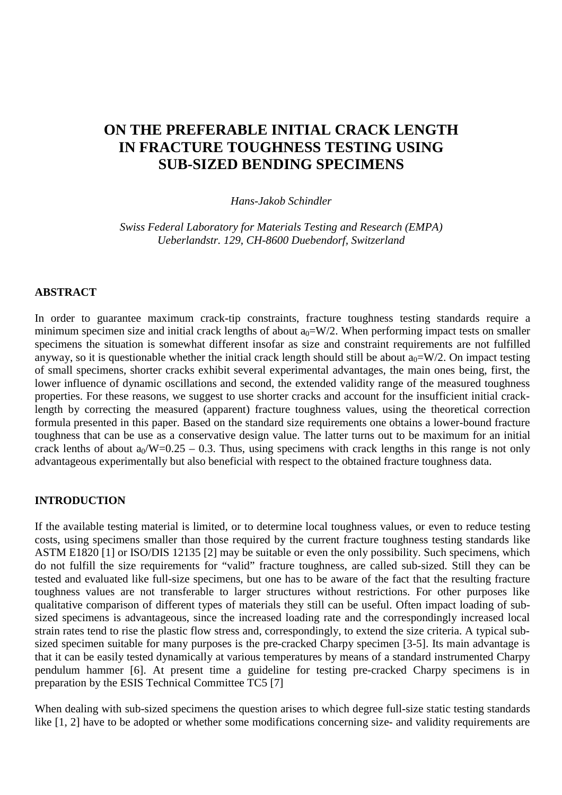# **ON THE PREFERABLE INITIAL CRACK LENGTH IN FRACTURE TOUGHNESS TESTING USING SUB-SIZED BENDING SPECIMENS**

*Hans-Jakob Schindler*

*Swiss Federal Laboratory for Materials Testing and Research (EMPA) Ueberlandstr. 129, CH-8600 Duebendorf, Switzerland*

## **ABSTRACT**

In order to guarantee maximum crack-tip constraints, fracture toughness testing standards require a minimum specimen size and initial crack lengths of about  $a_0 = W/2$ . When performing impact tests on smaller specimens the situation is somewhat different insofar as size and constraint requirements are not fulfilled anyway, so it is questionable whether the initial crack length should still be about  $a_0 = W/2$ . On impact testing of small specimens, shorter cracks exhibit several experimental advantages, the main ones being, first, the lower influence of dynamic oscillations and second, the extended validity range of the measured toughness properties. For these reasons, we suggest to use shorter cracks and account for the insufficient initial cracklength by correcting the measured (apparent) fracture toughness values, using the theoretical correction formula presented in this paper. Based on the standard size requirements one obtains a lower-bound fracture toughness that can be use as a conservative design value. The latter turns out to be maximum for an initial crack lenths of about  $a_0/W=0.25 - 0.3$ . Thus, using specimens with crack lengths in this range is not only advantageous experimentally but also beneficial with respect to the obtained fracture toughness data.

## **INTRODUCTION**

If the available testing material is limited, or to determine local toughness values, or even to reduce testing costs, using specimens smaller than those required by the current fracture toughness testing standards like ASTM E1820 [1] or ISO/DIS 12135 [2] may be suitable or even the only possibility. Such specimens, which do not fulfill the size requirements for "valid" fracture toughness, are called sub-sized. Still they can be tested and evaluated like full-size specimens, but one has to be aware of the fact that the resulting fracture toughness values are not transferable to larger structures without restrictions. For other purposes like qualitative comparison of different types of materials they still can be useful. Often impact loading of subsized specimens is advantageous, since the increased loading rate and the correspondingly increased local strain rates tend to rise the plastic flow stress and, correspondingly, to extend the size criteria. A typical subsized specimen suitable for many purposes is the pre-cracked Charpy specimen [3-5]. Its main advantage is that it can be easily tested dynamically at various temperatures by means of a standard instrumented Charpy pendulum hammer [6]. At present time a guideline for testing pre-cracked Charpy specimens is in preparation by the ESIS Technical Committee TC5 [7]

When dealing with sub-sized specimens the question arises to which degree full-size static testing standards like [1, 2] have to be adopted or whether some modifications concerning size- and validity requirements are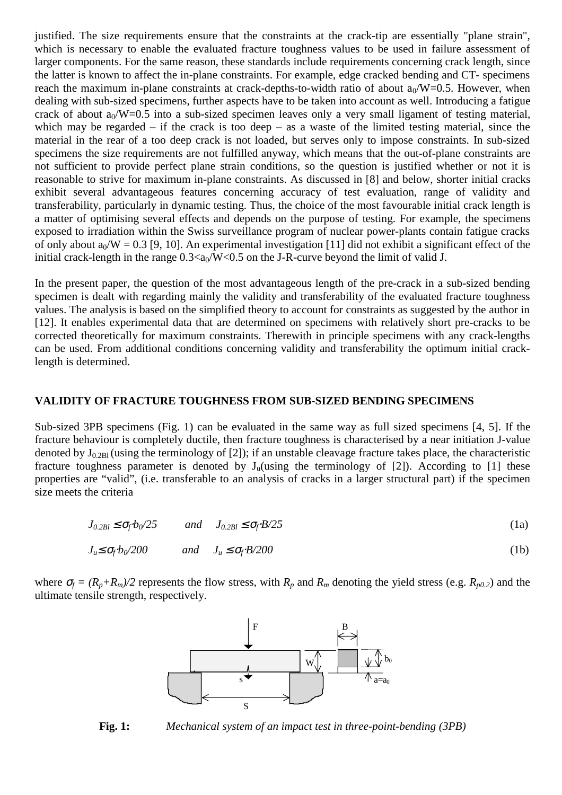justified. The size requirements ensure that the constraints at the crack-tip are essentially "plane strain", which is necessary to enable the evaluated fracture toughness values to be used in failure assessment of larger components. For the same reason, these standards include requirements concerning crack length, since the latter is known to affect the in-plane constraints. For example, edge cracked bending and CT- specimens reach the maximum in-plane constraints at crack-depths-to-width ratio of about  $a_0/W=0.5$ . However, when dealing with sub-sized specimens, further aspects have to be taken into account as well. Introducing a fatigue crack of about  $a_0/W=0.5$  into a sub-sized specimen leaves only a very small ligament of testing material, which may be regarded – if the crack is too deep – as a waste of the limited testing material, since the material in the rear of a too deep crack is not loaded, but serves only to impose constraints. In sub-sized specimens the size requirements are not fulfilled anyway, which means that the out-of-plane constraints are not sufficient to provide perfect plane strain conditions, so the question is justified whether or not it is reasonable to strive for maximum in-plane constraints. As discussed in [8] and below, shorter initial cracks exhibit several advantageous features concerning accuracy of test evaluation, range of validity and transferability, particularly in dynamic testing. Thus, the choice of the most favourable initial crack length is a matter of optimising several effects and depends on the purpose of testing. For example, the specimens exposed to irradiation within the Swiss surveillance program of nuclear power-plants contain fatigue cracks of only about  $a_0/W = 0.3$  [9, 10]. An experimental investigation [11] did not exhibit a significant effect of the initial crack-length in the range  $0.3 \langle a_0/W \langle 0.5 \rangle$  on the J-R-curve beyond the limit of valid J.

In the present paper, the question of the most advantageous length of the pre-crack in a sub-sized bending specimen is dealt with regarding mainly the validity and transferability of the evaluated fracture toughness values. The analysis is based on the simplified theory to account for constraints as suggested by the author in [12]. It enables experimental data that are determined on specimens with relatively short pre-cracks to be corrected theoretically for maximum constraints. Therewith in principle specimens with any crack-lengths can be used. From additional conditions concerning validity and transferability the optimum initial cracklength is determined.

## **VALIDITY OF FRACTURE TOUGHNESS FROM SUB-SIZED BENDING SPECIMENS**

Sub-sized 3PB specimens (Fig. 1) can be evaluated in the same way as full sized specimens [4, 5]. If the fracture behaviour is completely ductile, then fracture toughness is characterised by a near initiation J-value denoted by  $J_{0.2B1}$  (using the terminology of [2]); if an unstable cleavage fracture takes place, the characteristic fracture toughness parameter is denoted by  $J_u$ (using the terminology of [2]). According to [1] these properties are "valid", (i.e. transferable to an analysis of cracks in a larger structural part) if the specimen size meets the criteria

$$
J_{0.2Bl} \le \sigma_f b_0 / 25 \qquad \text{and} \qquad J_{0.2Bl} \le \sigma_f B / 25 \tag{1a}
$$

$$
J_u \le \sigma_f b_0 / 200 \qquad \text{and} \quad J_u \le \sigma_f B / 200 \tag{1b}
$$

where  $\sigma_f = (R_p + R_m)/2$  represents the flow stress, with  $R_p$  and  $R_m$  denoting the yield stress (e.g.  $R_{p0.2}$ ) and the ultimate tensile strength, respectively.



**Fig. 1:** *Mechanical system of an impact test in three-point-bending (3PB)*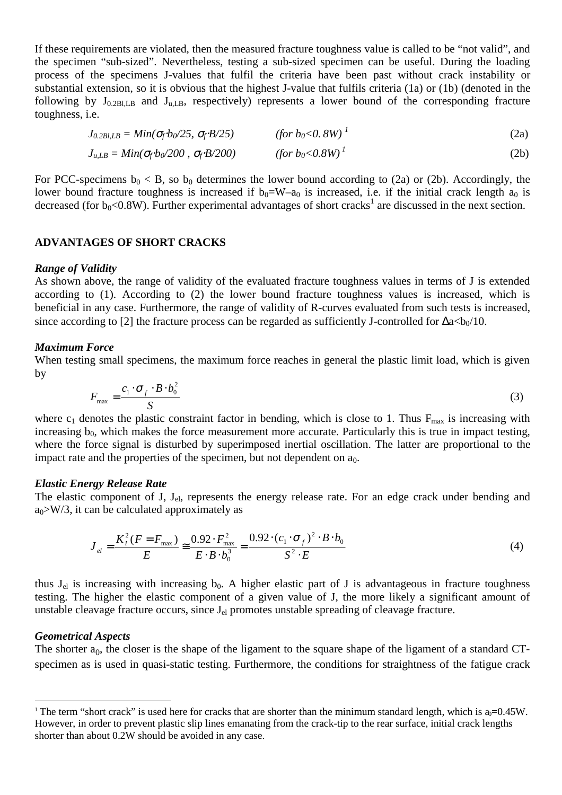If these requirements are violated, then the measured fracture toughness value is called to be "not valid", and the specimen "sub-sized". Nevertheless, testing a sub-sized specimen can be useful. During the loading process of the specimens J-values that fulfil the criteria have been past without crack instability or substantial extension, so it is obvious that the highest J-value that fulfils criteria (1a) or (1b) (denoted in the following by  $J_{0.2BILB}$  and  $J_{uLB}$ , respectively) represents a lower bound of the corresponding fracture toughness, i.e.

$$
J_{0.2B1, LB} = Min(\sigma_f b_0/25, \sigma_f B/25) \qquad \text{(for } b_0 < 0.8W \text{)}^1 \tag{2a}
$$

$$
J_{u, LB} = Min(\sigma_f b_0/200 \,, \, \sigma_f B/200) \qquad \qquad (for \, b_0 < 0.8W)^{\,1} \tag{2b}
$$

For PCC-specimens  $b_0 < B$ , so  $b_0$  determines the lower bound according to (2a) or (2b). Accordingly, the lower bound fracture toughness is increased if  $b_0=W-a_0$  is increased, i.e. if the initial crack length  $a_0$  is decreased (for  $b_0 < 0.8W$ ). Further experimental advantages of short cracks<sup>1</sup> are discussed in the next section.

## **ADVANTAGES OF SHORT CRACKS**

#### *Range of Validity*

As shown above, the range of validity of the evaluated fracture toughness values in terms of J is extended according to (1). According to (2) the lower bound fracture toughness values is increased, which is beneficial in any case. Furthermore, the range of validity of R-curves evaluated from such tests is increased, since according to [2] the fracture process can be regarded as sufficiently J-controlled for  $\Delta a < b_0/10$ .

#### *Maximum Force*

When testing small specimens, the maximum force reaches in general the plastic limit load, which is given by

$$
F_{\text{max}} = \frac{c_1 \cdot \sigma_f \cdot B \cdot b_0^2}{S} \tag{3}
$$

where  $c_1$  denotes the plastic constraint factor in bending, which is close to 1. Thus  $F_{\text{max}}$  is increasing with increasing  $b_0$ , which makes the force measurement more accurate. Particularly this is true in impact testing, where the force signal is disturbed by superimposed inertial oscillation. The latter are proportional to the impact rate and the properties of the specimen, but not dependent on  $a_0$ .

#### *Elastic Energy Release Rate*

The elastic component of J, J<sub>el</sub>, represents the energy release rate. For an edge crack under bending and  $a_0$ >W/3, it can be calculated approximately as

$$
J_{el} = \frac{K_I^2 (F = F_{\text{max}})}{E} \approx \frac{0.92 \cdot F_{\text{max}}^2}{E \cdot B \cdot b_0^3} = \frac{0.92 \cdot (c_1 \cdot \sigma_f)^2 \cdot B \cdot b_0}{S^2 \cdot E}
$$
(4)

thus  $J_{el}$  is increasing with increasing  $b_0$ . A higher elastic part of J is advantageous in fracture toughness testing. The higher the elastic component of a given value of J, the more likely a significant amount of unstable cleavage fracture occurs, since  $J<sub>el</sub>$  promotes unstable spreading of cleavage fracture.

#### *Geometrical Aspects*

j

The shorter  $a_0$ , the closer is the shape of the ligament to the square shape of the ligament of a standard CTspecimen as is used in quasi-static testing. Furthermore, the conditions for straightness of the fatigue crack

<sup>&</sup>lt;sup>1</sup> The term "short crack" is used here for cracks that are shorter than the minimum standard length, which is  $a_0=0.45W$ . However, in order to prevent plastic slip lines emanating from the crack-tip to the rear surface, initial crack lengths shorter than about 0.2W should be avoided in any case.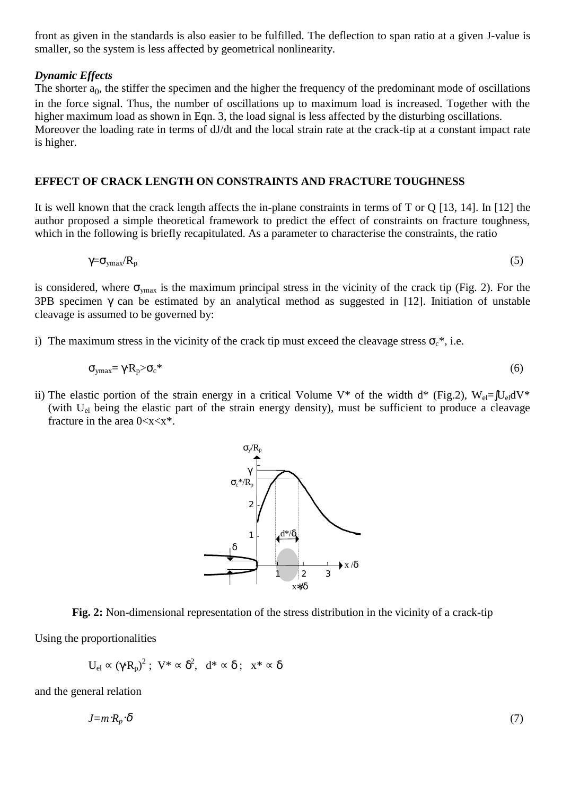front as given in the standards is also easier to be fulfilled. The deflection to span ratio at a given J-value is smaller, so the system is less affected by geometrical nonlinearity.

## *Dynamic Effects*

The shorter  $a_0$ , the stiffer the specimen and the higher the frequency of the predominant mode of oscillations in the force signal. Thus, the number of oscillations up to maximum load is increased. Together with the higher maximum load as shown in Eqn. 3, the load signal is less affected by the disturbing oscillations. Moreover the loading rate in terms of dJ/dt and the local strain rate at the crack-tip at a constant impact rate is higher.

#### **EFFECT OF CRACK LENGTH ON CONSTRAINTS AND FRACTURE TOUGHNESS**

It is well known that the crack length affects the in-plane constraints in terms of T or Q [13, 14]. In [12] the author proposed a simple theoretical framework to predict the effect of constraints on fracture toughness, which in the following is briefly recapitulated. As a parameter to characterise the constraints, the ratio

$$
\gamma = \sigma_{\text{ymax}} / R_{\text{p}} \tag{5}
$$

is considered, where  $\sigma_{\text{max}}$  is the maximum principal stress in the vicinity of the crack tip (Fig. 2). For the 3PB specimen  $\gamma$  can be estimated by an analytical method as suggested in [12]. Initiation of unstable cleavage is assumed to be governed by:

i) The maximum stress in the vicinity of the crack tip must exceed the cleavage stress  $\sigma_c^*$ , i.e.

$$
\sigma_{\text{ymax}} = \gamma R_p > \sigma_c^* \tag{6}
$$

ii) The elastic portion of the strain energy in a critical Volume V\* of the width d\* (Fig.2),  $W_{el} = JU_{el}dV^*$ (with  $U_{el}$  being the elastic part of the strain energy density), must be sufficient to produce a cleavage fracture in the area  $0 < x < x^*$ .



**Fig. 2:** Non-dimensional representation of the stress distribution in the vicinity of a crack-tip

Using the proportionalities

$$
U_{el} \propto \left(\gamma\cdot R_p\right)^2\,;\ \ V^*\propto \delta^2,\ \ d^*\propto \delta\ ;\ \ x^*\propto \delta
$$

and the general relation

$$
J = m \cdot R_p \cdot \delta \tag{7}
$$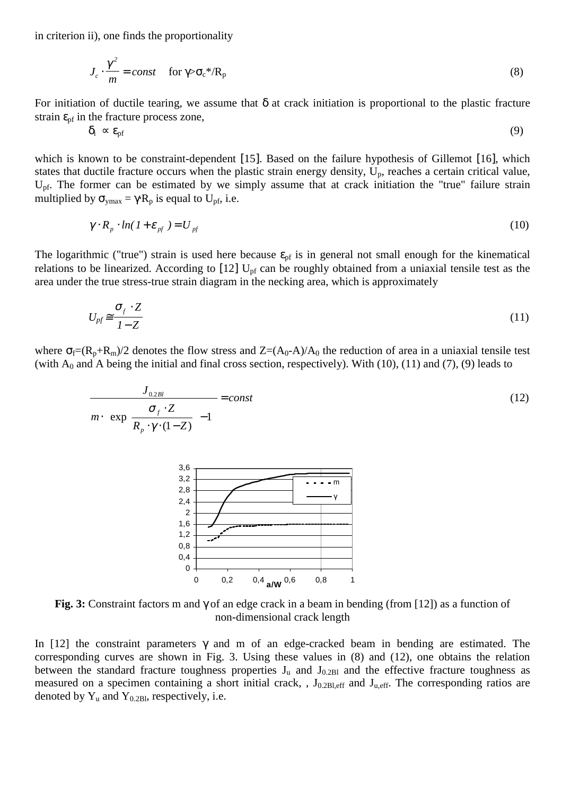in criterion ii), one finds the proportionality

$$
J_c \cdot \frac{\gamma^2}{m} = const \quad \text{for } \gamma > \sigma_c * / R_p \tag{8}
$$

For initiation of ductile tearing, we assume that  $\delta$  at crack initiation is proportional to the plastic fracture strain  $\varepsilon_{\text{pf}}$  in the fracture process zone,

$$
\delta_{\rm i} \propto \varepsilon_{\rm pf} \tag{9}
$$

which is known to be constraint-dependent [15]. Based on the failure hypothesis of Gillemot [16], which states that ductile fracture occurs when the plastic strain energy density,  $U_p$ , reaches a certain critical value, U<sub>pf</sub>. The former can be estimated by we simply assume that at crack initiation the "true" failure strain multiplied by  $\sigma_{\text{ymax}} = \gamma R_p$  is equal to U<sub>pf</sub>, i.e.

$$
\gamma \cdot R_p \cdot \ln(1 + \varepsilon_{pf}) = U_{pf} \tag{10}
$$

The logarithmic ("true") strain is used here because  $\varepsilon_{pf}$  is in general not small enough for the kinematical relations to be linearized. According to  $[12]$  U<sub>pf</sub> can be roughly obtained from a uniaxial tensile test as the area under the true stress-true strain diagram in the necking area, which is approximately

$$
U_{pf} \cong \frac{\sigma_f \cdot Z}{1 - Z} \tag{11}
$$

where  $\sigma_f=(R_p+R_m)/2$  denotes the flow stress and  $Z=(A_0-A)/A_0$  the reduction of area in a uniaxial tensile test (with  $A_0$  and A being the initial and final cross section, respectively). With (10), (11) and (7), (9) leads to





**Fig. 3:** Constraint factors m and γ of an edge crack in a beam in bending (from [12]) as a function of non-dimensional crack length

In [12] the constraint parameters  $\gamma$  and m of an edge-cracked beam in bending are estimated. The corresponding curves are shown in Fig. 3. Using these values in (8) and (12), one obtains the relation between the standard fracture toughness properties  $J_u$  and  $J_{0.2B1}$  and the effective fracture toughness as measured on a specimen containing a short initial crack, ,  $J_{0.2B1,eff}$  and  $J_{u,eff}$ . The corresponding ratios are denoted by  $Y_u$  and  $Y_{0.2B1}$ , respectively, i.e.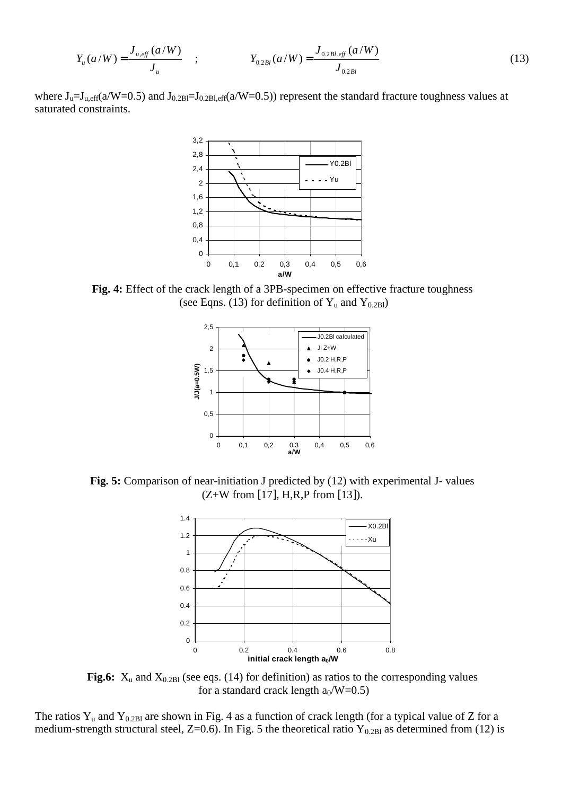$$
Y_u(a/W) = \frac{J_{u,eff}(a/W)}{J_u} \quad ; \quad Y_{0.2Bl}(a/W) = \frac{J_{0.2Bl,eff}(a/W)}{J_{0.2Bl}} \tag{13}
$$

where  $J_u=J_{u,eff}(a/W=0.5)$  and  $J_{0.2B}J_{0.2B}J_{0.2B}$ ,  $f_a(W=0.5)$  represent the standard fracture toughness values at saturated constraints.



**Fig. 4:** Effect of the crack length of a 3PB-specimen on effective fracture toughness (see Eqns. (13) for definition of  $Y_u$  and  $Y_{0.2B1}$ )



Fig. 5: Comparison of near-initiation J predicted by (12) with experimental J- values  $(Z+W$  from [17], H,R,P from [13]).



**Fig.6:**  $X_u$  and  $X_{0.2B1}$  (see eqs. (14) for definition) as ratios to the corresponding values for a standard crack length  $a_0/W=0.5$ )

The ratios  $Y_u$  and  $Y_{0.2B1}$  are shown in Fig. 4 as a function of crack length (for a typical value of Z for a medium-strength structural steel, Z=0.6). In Fig. 5 the theoretical ratio  $Y_{0.2B1}$  as determined from (12) is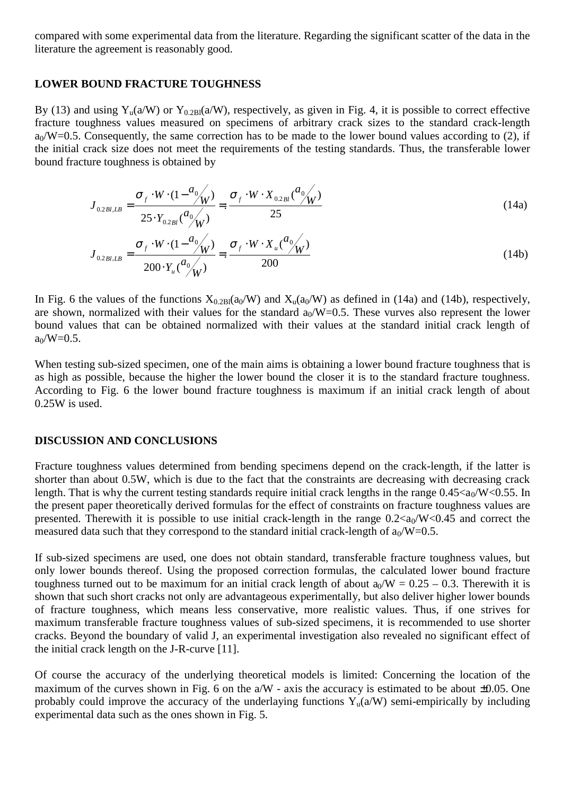compared with some experimental data from the literature. Regarding the significant scatter of the data in the literature the agreement is reasonably good.

## **LOWER BOUND FRACTURE TOUGHNESS**

By (13) and using  $Y_u(a/W)$  or  $Y_{0.2Bl}(a/W)$ , respectively, as given in Fig. 4, it is possible to correct effective fracture toughness values measured on specimens of arbitrary crack sizes to the standard crack-length  $a_0/W=0.5$ . Consequently, the same correction has to be made to the lower bound values according to (2), if the initial crack size does not meet the requirements of the testing standards. Thus, the transferable lower bound fracture toughness is obtained by

$$
J_{0.2B1, LB} = \frac{\sigma_f \cdot W \cdot (1 - \frac{a_0}{W})}{25 \cdot Y_{0.2B1} \cdot \frac{a_0}{W}} =: \frac{\sigma_f \cdot W \cdot X_{0.2B1} \cdot \frac{a_0}{W}}{25}
$$
(14a)

$$
J_{0.2\,B1,LB} = \frac{\sigma_f \cdot W \cdot (1 - \frac{a_0}{W})}{200 \cdot Y_u \frac{a_0}{W}} =: \frac{\sigma_f \cdot W \cdot X_u \frac{a_0}{W}}{200}
$$
\n(14b)

In Fig. 6 the values of the functions  $X_{0.2B1}(a_0/W)$  and  $X_u(a_0/W)$  as defined in (14a) and (14b), respectively, are shown, normalized with their values for the standard  $a_0/W=0.5$ . These vurves also represent the lower bound values that can be obtained normalized with their values at the standard initial crack length of  $a_0/W=0.5$ .

When testing sub-sized specimen, one of the main aims is obtaining a lower bound fracture toughness that is as high as possible, because the higher the lower bound the closer it is to the standard fracture toughness. According to Fig. 6 the lower bound fracture toughness is maximum if an initial crack length of about 0.25W is used.

## **DISCUSSION AND CONCLUSIONS**

Fracture toughness values determined from bending specimens depend on the crack-length, if the latter is shorter than about 0.5W, which is due to the fact that the constraints are decreasing with decreasing crack length. That is why the current testing standards require initial crack lengths in the range  $0.45 < a_0/W < 0.55$ . In the present paper theoretically derived formulas for the effect of constraints on fracture toughness values are presented. Therewith it is possible to use initial crack-length in the range  $0.2 < a_0/W < 0.45$  and correct the measured data such that they correspond to the standard initial crack-length of  $a_0/W=0.5$ .

If sub-sized specimens are used, one does not obtain standard, transferable fracture toughness values, but only lower bounds thereof. Using the proposed correction formulas, the calculated lower bound fracture toughness turned out to be maximum for an initial crack length of about  $a_0/W = 0.25 - 0.3$ . Therewith it is shown that such short cracks not only are advantageous experimentally, but also deliver higher lower bounds of fracture toughness, which means less conservative, more realistic values. Thus, if one strives for maximum transferable fracture toughness values of sub-sized specimens, it is recommended to use shorter cracks. Beyond the boundary of valid J, an experimental investigation also revealed no significant effect of the initial crack length on the J-R-curve [11].

Of course the accuracy of the underlying theoretical models is limited: Concerning the location of the maximum of the curves shown in Fig. 6 on the  $a/W$  - axis the accuracy is estimated to be about  $\pm 0.05$ . One probably could improve the accuracy of the underlaying functions  $Y_u(a/W)$  semi-empirically by including experimental data such as the ones shown in Fig. 5.